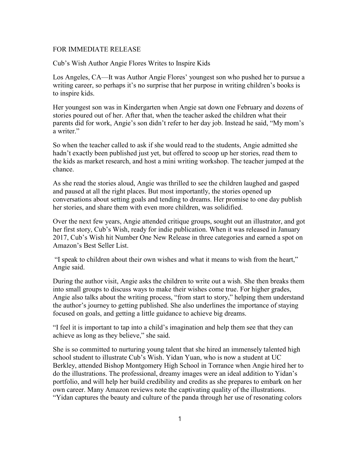## FOR IMMEDIATE RELEASE

Cub's Wish Author Angie Flores Writes to Inspire Kids

Los Angeles, CA—It was Author Angie Flores' youngest son who pushed her to pursue a writing career, so perhaps it's no surprise that her purpose in writing children's books is to inspire kids.

Her youngest son was in Kindergarten when Angie sat down one February and dozens of stories poured out of her. After that, when the teacher asked the children what their parents did for work, Angie's son didn't refer to her day job. Instead he said, "My mom's a writer."

So when the teacher called to ask if she would read to the students, Angie admitted she hadn't exactly been published just yet, but offered to scoop up her stories, read them to the kids as market research, and host a mini writing workshop. The teacher jumped at the chance.

As she read the stories aloud, Angie was thrilled to see the children laughed and gasped and paused at all the right places. But most importantly, the stories opened up conversations about setting goals and tending to dreams. Her promise to one day publish her stories, and share them with even more children, was solidified.

Over the next few years, Angie attended critique groups, sought out an illustrator, and got her first story, Cub's Wish, ready for indie publication. When it was released in January 2017, Cub's Wish hit Number One New Release in three categories and earned a spot on Amazon's Best Seller List.

"I speak to children about their own wishes and what it means to wish from the heart," Angie said.

During the author visit, Angie asks the children to write out a wish. She then breaks them into small groups to discuss ways to make their wishes come true. For higher grades, Angie also talks about the writing process, "from start to story," helping them understand the author's journey to getting published. She also underlines the importance of staying focused on goals, and getting a little guidance to achieve big dreams.

"I feel it is important to tap into a child's imagination and help them see that they can achieve as long as they believe," she said.

She is so committed to nurturing young talent that she hired an immensely talented high school student to illustrate Cub's Wish. Yidan Yuan, who is now a student at UC Berkley, attended Bishop Montgomery High School in Torrance when Angie hired her to do the illustrations. The professional, dreamy images were an ideal addition to Yidan's portfolio, and will help her build credibility and credits as she prepares to embark on her own career. Many Amazon reviews note the captivating quality of the illustrations. "Yidan captures the beauty and culture of the panda through her use of resonating colors